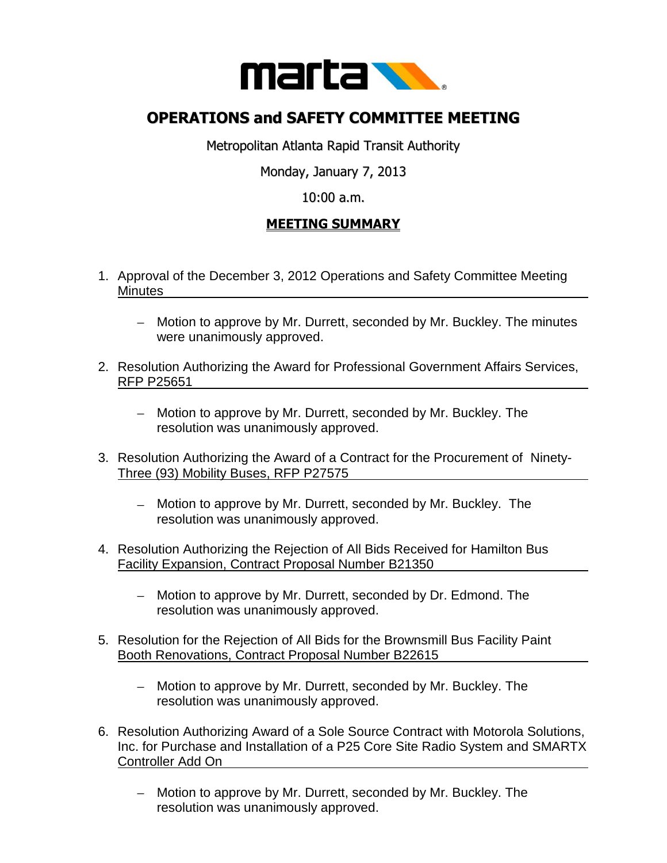

## **OPERATIONS and SAFETY COMMITTEE MEETING**

Metropolitan Atlanta Rapid Transit Authority

Monday, January 7, 2013

## 10:00 a.m.

## **MEETING SUMMARY**

- 1. Approval of the December 3, 2012 Operations and Safety Committee Meeting Minutes
	- Motion to approve by Mr. Durrett, seconded by Mr. Buckley. The minutes were unanimously approved.
- 2. Resolution Authorizing the Award for Professional Government Affairs Services, RFP P25651
	- Motion to approve by Mr. Durrett, seconded by Mr. Buckley. The resolution was unanimously approved.
- 3. Resolution Authorizing the Award of a Contract for the Procurement of Ninety-Three (93) Mobility Buses, RFP P27575
	- Motion to approve by Mr. Durrett, seconded by Mr. Buckley. The resolution was unanimously approved.
- 4. Resolution Authorizing the Rejection of All Bids Received for Hamilton Bus Facility Expansion, Contract Proposal Number B21350
	- Motion to approve by Mr. Durrett, seconded by Dr. Edmond. The  $\frac{1}{2}$ resolution was unanimously approved.
- 5. Resolution for the Rejection of All Bids for the Brownsmill Bus Facility Paint Booth Renovations, Contract Proposal Number B22615
	- Motion to approve by Mr. Durrett, seconded by Mr. Buckley. The resolution was unanimously approved.
- 6. Resolution Authorizing Award of a Sole Source Contract with Motorola Solutions, Inc. for Purchase and Installation of a P25 Core Site Radio System and SMARTX Controller Add On
	- Motion to approve by Mr. Durrett, seconded by Mr. Buckley. The resolution was unanimously approved.